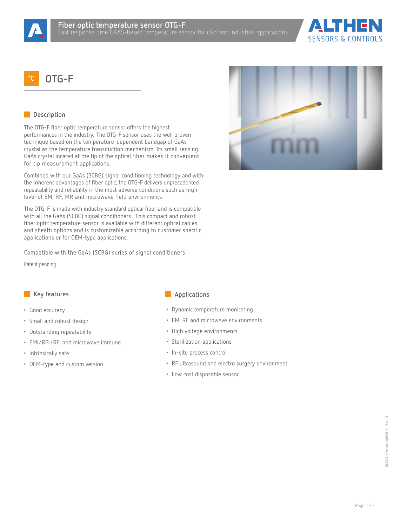



# **°C OTG-F**

# **Description**

The OTG-F fiber optic temperature sensor offers the highest performances in the industry. The OTG-F sensor uses the well proven technique based on the temperature-dependent bandgap of GaAs crystal as the temperature transduction mechanism. Its small sensing GaAs crystal located at the tip of the optical fiber makes it convenient for tip measurement applications.

Combined with our GaAs (SCBG) signal conditioning technology and with the inherent advantages of fiber optic, the OTG-F delivers unprecedented repeatability and reliability in the most adverse conditions such as high level of EM, RF, MR and microwave field environments.

The OTG-F is made with industry standard optical fiber and is compatible with all the GaAs (SCBG) signal conditioners. This compact and robust fiber optic temperature sensor is available with different optical cables and sheath options and is customizable according to customer specific applications or for OEM-type applications.

Compatible with the GaAs (SCBG) series of signal conditioners

Patent pending

- Good accuracy
- Small and robust design
- Outstanding repeatability
- EMI/RFI/RFI and microwave immune
- Intrinsically safe
- OEM-type and custom version

### **Key features Applications**

- Dynamic temperature monitoring
- EM, RF and microwave environments
- High voltage environments
- Sterilization applications
- In-situ process control
- RF ultrasound and electro surgery environment
- Low cost disposable sensor